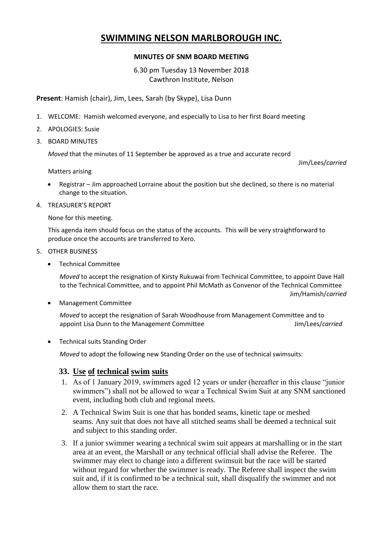## **SWIMMING NELSON MARLBOROUGH INC.**

## **MINUTES OF SNM BOARD MEETING**

6.30 pm Tuesday 13 November 2018 Cawthron Institute, Nelson

**Present**: Hamish (chair), Jim, Lees, Sarah (by Skype), Lisa Dunn

- 1. WELCOME: Hamish welcomed everyone, and especially to Lisa to her first Board meeting
- 2. APOLOGIES: Susie
- 3. BOARD MINUTES

*Moved* that the minutes of 11 September be approved as a true and accurate record

Jim/Lees/*carried*

Matters arising

- Registrar Jim approached Lorraine about the position but she declined, so there is no material change to the situation.
- 4. TREASURER'S REPORT

None for this meeting.

This agenda item should focus on the status of the accounts. This will be very straightforward to produce once the accounts are transferred to Xero.

- 5. OTHER BUSINESS
	- Technical Committee

*Moved* to accept the resignation of Kirsty Rukuwai from Technical Committee, to appoint Dave Hall to the Technical Committee, and to appoint Phil McMath as Convenor of the Technical Committee Jim/Hamish/*carried*

Management Committee

*Moved* to accept the resignation of Sarah Woodhouse from Management Committee and to appoint Lisa Dunn to the Management Committee **Figure 1** Sim/Lees/*carried* 

• Technical suits Standing Order

*Moved* to adopt the following new Standing Order on the use of technical swimsuits:

## **33. Use of technical swim suits**

- 1. As of 1 January 2019, swimmers aged 12 years or under (hereafter in this clause "junior swimmers") shall not be allowed to wear a Technical Swim Suit at any SNM sanctioned event, including both club and regional meets.
- 2. A Technical Swim Suit is one that has bonded seams, kinetic tape or meshed seams. Any suit that does not have all stitched seams shall be deemed a technical suit and subject to this standing order.
- 3. If a junior swimmer wearing a technical swim suit appears at marshalling or in the start area at an event, the Marshall or any technical official shall advise the Referee. The swimmer may elect to change into a different swimsuit but the race will be started without regard for whether the swimmer is ready. The Referee shall inspect the swim suit and, if it is confirmed to be a technical suit, shall disqualify the swimmer and not allow them to start the race.